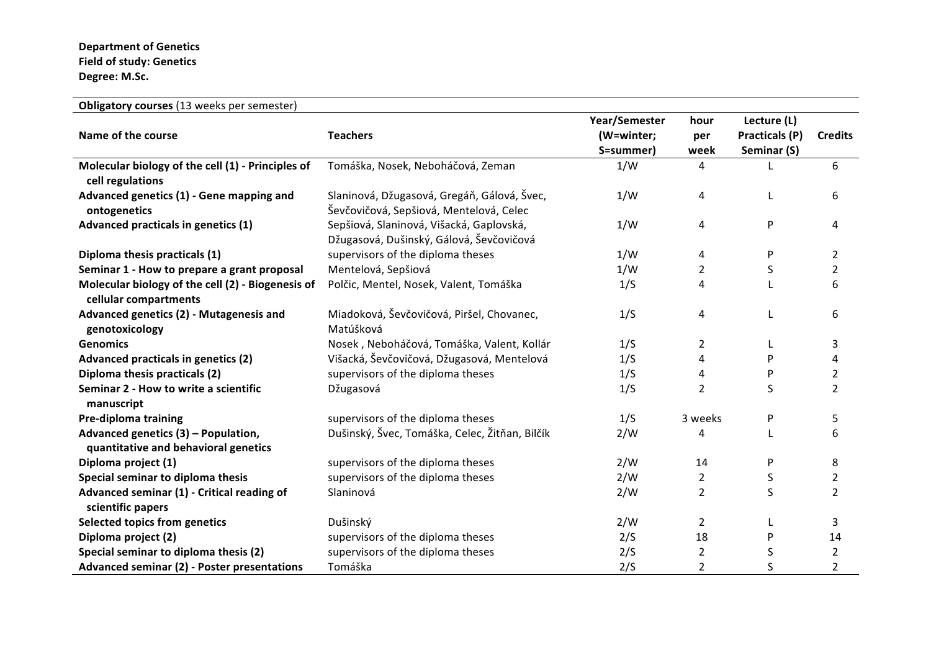## **Department of Genetics Field of study: Genetics Degree: M.Sc.**

| Obligatory courses (13 weeks per semester)                                  |                                                                                        |                                          |                     |                                              |                |  |  |
|-----------------------------------------------------------------------------|----------------------------------------------------------------------------------------|------------------------------------------|---------------------|----------------------------------------------|----------------|--|--|
| Name of the course                                                          | <b>Teachers</b>                                                                        | Year/Semester<br>(W=winter;<br>S=summer) | hour<br>per<br>week | Lecture (L)<br>Practicals (P)<br>Seminar (S) | <b>Credits</b> |  |  |
| Molecular biology of the cell (1) - Principles of<br>cell regulations       | Tomáška, Nosek, Neboháčová, Zeman                                                      | 1/W                                      | 4                   |                                              | 6              |  |  |
| Advanced genetics (1) - Gene mapping and<br>ontogenetics                    | Slaninová, Džugasová, Gregáň, Gálová, Švec,<br>Ševčovičová, Sepšiová, Mentelová, Celec | 1/W                                      | 4                   | L                                            | 6              |  |  |
| Advanced practicals in genetics (1)                                         | Sepšiová, Slaninová, Višacká, Gaplovská,<br>Džugasová, Dušinský, Gálová, Ševčovičová   | 1/W                                      | 4                   | P                                            | 4              |  |  |
| Diploma thesis practicals (1)                                               | supervisors of the diploma theses                                                      | 1/W                                      | $\overline{4}$      | P                                            | 2              |  |  |
| Seminar 1 - How to prepare a grant proposal                                 | Mentelová, Sepšiová                                                                    | 1/W                                      | 2                   | S                                            | $\overline{2}$ |  |  |
| Molecular biology of the cell (2) - Biogenesis of<br>cellular compartments  | Polčic, Mentel, Nosek, Valent, Tomáška                                                 | 1/S                                      | 4                   |                                              | 6              |  |  |
| Advanced genetics (2) - Mutagenesis and<br>genotoxicology                   | Miadoková, Ševčovičová, Piršel, Chovanec,<br>Matúšková                                 | 1/S                                      | 4                   | L                                            | 6              |  |  |
| <b>Genomics</b>                                                             | Nosek, Neboháčová, Tomáška, Valent, Kollár                                             | 1/S                                      | $\overline{2}$      | L                                            | 3              |  |  |
| Advanced practicals in genetics (2)                                         | Višacká, Ševčovičová, Džugasová, Mentelová                                             | 1/S                                      | 4                   | P                                            | 4              |  |  |
| Diploma thesis practicals (2)                                               | supervisors of the diploma theses                                                      | 1/S                                      | 4                   | P                                            | $\overline{2}$ |  |  |
| Seminar 2 - How to write a scientific<br>manuscript                         | Džugasová                                                                              | 1/S                                      | $\overline{2}$      | S                                            | $\overline{2}$ |  |  |
| Pre-diploma training                                                        | supervisors of the diploma theses                                                      | 1/S                                      | 3 weeks             | P                                            | 5              |  |  |
| Advanced genetics (3) - Population,<br>quantitative and behavioral genetics | Dušinský, Švec, Tomáška, Celec, Žitňan, Bilčík                                         | 2/W                                      | 4                   | L                                            | 6              |  |  |
| Diploma project (1)                                                         | supervisors of the diploma theses                                                      | 2/W                                      | 14                  | P                                            | 8              |  |  |
| Special seminar to diploma thesis                                           | supervisors of the diploma theses                                                      | 2/W                                      | $\overline{2}$      | S                                            | $\overline{2}$ |  |  |
| Advanced seminar (1) - Critical reading of<br>scientific papers             | Slaninová                                                                              | 2/W                                      | 2                   | S                                            | $\overline{2}$ |  |  |
| <b>Selected topics from genetics</b>                                        | Dušinský                                                                               | 2/W                                      | $\overline{2}$      | L                                            | 3              |  |  |
| Diploma project (2)                                                         | supervisors of the diploma theses                                                      | 2/S                                      | 18                  | P                                            | 14             |  |  |
| Special seminar to diploma thesis (2)                                       | supervisors of the diploma theses                                                      | 2/S                                      | $\overline{2}$      | S                                            | $\overline{2}$ |  |  |
| Advanced seminar (2) - Poster presentations                                 | Tomáška                                                                                | 2/S                                      | $\overline{2}$      | S                                            | $\overline{2}$ |  |  |